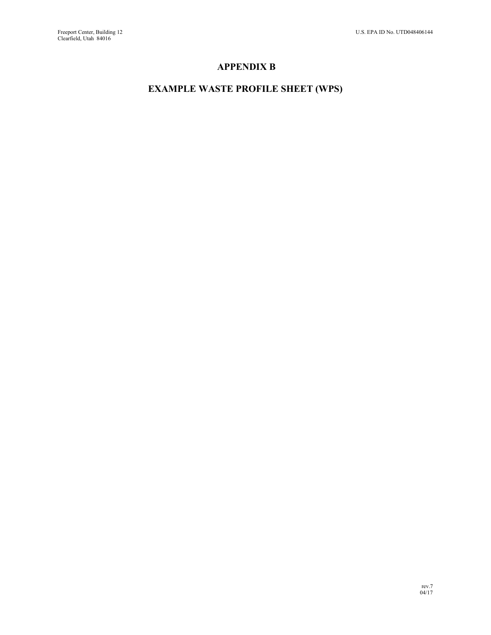### **APPENDIX B**

## **EXAMPLE WASTE PROFILE SHEET (WPS)**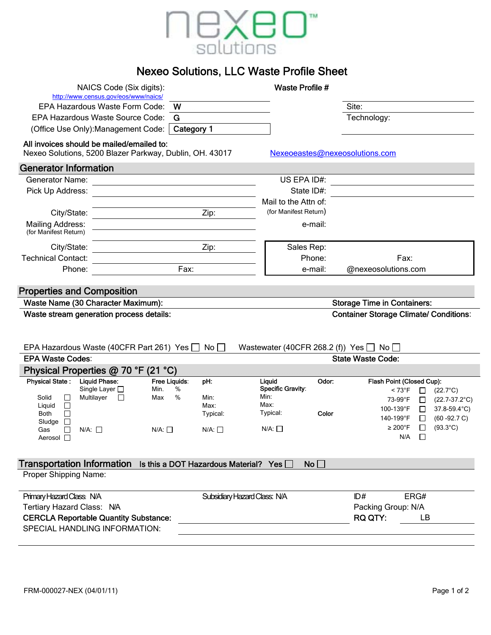

# Nexeo Solutions, LLC Waste Profile Sheet

|                                   | NAICS Code (Six digits):                                                                             |                       |                               | <b>Waste Profile #</b>                            |                                               |                                                |
|-----------------------------------|------------------------------------------------------------------------------------------------------|-----------------------|-------------------------------|---------------------------------------------------|-----------------------------------------------|------------------------------------------------|
|                                   | http://www.census.gov/eos/www/naics/<br>EPA Hazardous Waste Form Code:                               | W                     |                               |                                                   | Site:                                         |                                                |
|                                   | EPA Hazardous Waste Source Code:                                                                     | G                     |                               |                                                   | Technology:                                   |                                                |
|                                   | (Office Use Only): Management Code:                                                                  | Category 1            |                               |                                                   |                                               |                                                |
|                                   |                                                                                                      |                       |                               |                                                   |                                               |                                                |
|                                   | All invoices should be mailed/emailed to:<br>Nexeo Solutions, 5200 Blazer Parkway, Dublin, OH. 43017 |                       |                               |                                                   | Nexeoeastes@nexeosolutions.com                |                                                |
| <b>Generator Information</b>      |                                                                                                      |                       |                               |                                                   |                                               |                                                |
| <b>Generator Name:</b>            |                                                                                                      |                       |                               | US EPA ID#:                                       |                                               |                                                |
| Pick Up Address:                  |                                                                                                      |                       |                               | State ID#:                                        |                                               |                                                |
|                                   |                                                                                                      |                       |                               | Mail to the Attn of:                              |                                               |                                                |
| City/State:                       |                                                                                                      |                       | Zip:                          | (for Manifest Return)                             |                                               |                                                |
| <b>Mailing Address:</b>           |                                                                                                      |                       |                               | e-mail:                                           |                                               |                                                |
| (for Manifest Return)             |                                                                                                      |                       |                               |                                                   |                                               |                                                |
| City/State:                       |                                                                                                      |                       | Zip:                          | Sales Rep:                                        |                                               |                                                |
| <b>Technical Contact:</b>         |                                                                                                      |                       |                               | Phone:                                            | Fax:                                          |                                                |
| Phone:                            |                                                                                                      | Fax:                  |                               | e-mail:                                           | @nexeosolutions.com                           |                                                |
|                                   |                                                                                                      |                       |                               |                                                   |                                               |                                                |
| <b>Properties and Composition</b> |                                                                                                      |                       |                               |                                                   |                                               |                                                |
|                                   | Waste Name (30 Character Maximum):                                                                   |                       |                               |                                                   | <b>Storage Time in Containers:</b>            |                                                |
|                                   | Waste stream generation process details:                                                             |                       |                               |                                                   | <b>Container Storage Climate/ Conditions:</b> |                                                |
|                                   |                                                                                                      |                       |                               |                                                   |                                               |                                                |
|                                   |                                                                                                      |                       |                               |                                                   |                                               |                                                |
|                                   |                                                                                                      |                       |                               |                                                   |                                               |                                                |
|                                   | EPA Hazardous Waste (40CFR Part 261) Yes $\Box$                                                      |                       | $\mathsf{No} \,   \, \square$ | Wastewater (40CFR 268.2 (f)) Yes $\Box$ No $\Box$ |                                               |                                                |
| <b>EPA Waste Codes:</b>           |                                                                                                      |                       |                               |                                                   | <b>State Waste Code:</b>                      |                                                |
|                                   | Physical Properties @ 70 °F (21 °C)                                                                  |                       |                               |                                                   |                                               |                                                |
| <b>Physical State:</b>            | <b>Liquid Phase:</b>                                                                                 | Free Liquids:         | pH:                           | Liguid<br>Odor:                                   | Flash Point (Closed Cup):                     |                                                |
| Solid                             | Single Layer $\square$                                                                               | %<br>Min.<br>%<br>Max | Min:                          | Specific Gravity:<br>Min:                         | $< 73^{\circ}F$                               | $(22.7^{\circ}C)$<br>⊔                         |
| $\Box$<br>Liquid<br>$\Box$        | Multilayer<br>$\Box$                                                                                 |                       | Max:                          | Max:                                              | 73-99°F                                       | $\Box$<br>$(22.7-37.2^{\circ}C)$               |
| $\Box$<br>Both                    |                                                                                                      |                       | Typical:                      | Typical:<br>Color                                 | 100-139°F<br>140-199°F                        | 37.8-59.4°C)<br>□                              |
| Sludge<br>$\Box$<br>Gas<br>$\Box$ | N/A:                                                                                                 | $N/A: \Box$           | N/A:                          | N/A: □                                            | $\geq 200^{\circ}$ F                          | $(60 - 92.7 C)$<br>$(93.3^{\circ}C)$<br>$\Box$ |
| Aerosol $\square$                 |                                                                                                      |                       |                               |                                                   | N/A                                           | □                                              |
|                                   |                                                                                                      |                       |                               |                                                   |                                               |                                                |
|                                   |                                                                                                      |                       |                               |                                                   |                                               |                                                |
| Proper Shipping Name:             | Transportation Information Is this a DOT Hazardous Material? Yes [                                   |                       |                               | No                                                |                                               |                                                |
|                                   |                                                                                                      |                       |                               |                                                   |                                               |                                                |
| Primary Hazard Class: N/A         |                                                                                                      |                       | Subsidiary Hazard Class: N/A  |                                                   | ID#                                           | ERG#                                           |
| Tertiary Hazard Class: N/A        |                                                                                                      |                       |                               |                                                   | Packing Group: N/A                            |                                                |
|                                   | <b>CERCLA Reportable Quantity Substance:</b>                                                         |                       |                               |                                                   | <b>RQ QTY:</b>                                | LВ                                             |
|                                   | <b>SPECIAL HANDLING INFORMATION:</b>                                                                 |                       |                               |                                                   |                                               |                                                |